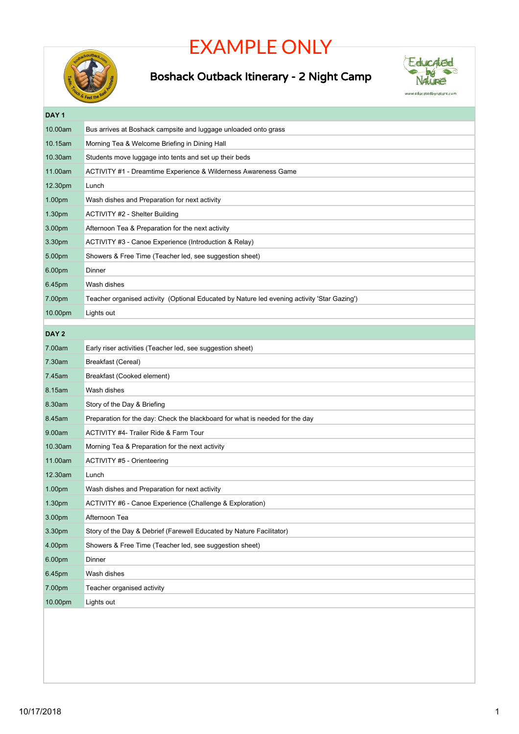## EXAMPLE ONLY



## Boshack Outback Itinerary - 2 Night Camp



**DAY 1** 10.00am Bus arrives at Boshack campsite and luggage unloaded onto grass 10.15am Morning Tea & Welcome Briefing in Dining Hall 10.30am Students move luggage into tents and set up their beds 11.00am ACTIVITY #1 - Dreamtime Experience & Wilderness Awareness Game 12.30pm Lunch 1.00pm Wash dishes and Preparation for next activity 1.30pm ACTIVITY #2 - Shelter Building 3.00pm Afternoon Tea & Preparation for the next activity 3.30pm ACTIVITY #3 - Canoe Experience (Introduction & Relay) 5.00pm Showers & Free Time (Teacher led, see suggestion sheet) 6.00pm Dinner 6.45pm Wash dishes 7.00pm Teacher organised activity (Optional Educated by Nature led evening activity 'Star Gazing') 10.00pm Lights out **DAY 2** 7.00am Early riser activities (Teacher led, see suggestion sheet) 7.30am Breakfast (Cereal) 7.45am Breakfast (Cooked element) 8.15am Wash dishes 8.30am Story of the Day & Briefing 8.45am Preparation for the day: Check the blackboard for what is needed for the day 9.00am ACTIVITY #4- Trailer Ride & Farm Tour 10.30am Morning Tea & Preparation for the next activity 11.00am ACTIVITY #5 - Orienteering 12.30am Lunch 1.00pm Wash dishes and Preparation for next activity 1.30pm ACTIVITY #6 - Canoe Experience (Challenge & Exploration) 3.00pm Afternoon Tea 3.30pm Story of the Day & Debrief (Farewell Educated by Nature Facilitator) 4.00pm Showers & Free Time (Teacher led, see suggestion sheet) 6.00pm Dinner 6.45pm Wash dishes 7.00pm Teacher organised activity 10.00pm Lights out